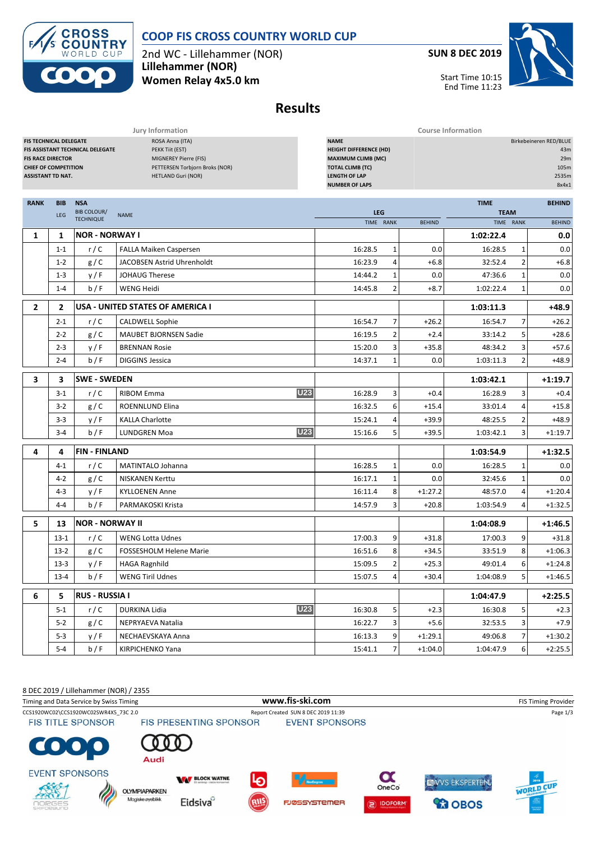

## **COOP FIS CROSS COUNTRY WORLD CUP**

2nd WC - Lillehammer (NOR) **Lillehammer (NOR) Women Relay 4x5.0 km**

**SUN 8 DEC 2019**

Start Time 10:15 End Time 11:23



| <b>Results</b> |
|----------------|
|----------------|

|                                                                                                                      |                                  |                                                                                                                            | Jury Information                                                                                                                                      | <b>Course Information</b> |                         |               |             |                                                                |               |  |  |
|----------------------------------------------------------------------------------------------------------------------|----------------------------------|----------------------------------------------------------------------------------------------------------------------------|-------------------------------------------------------------------------------------------------------------------------------------------------------|---------------------------|-------------------------|---------------|-------------|----------------------------------------------------------------|---------------|--|--|
| <b>FIS TECHNICAL DELEGATE</b><br><b>FIS RACE DIRECTOR</b><br><b>CHIEF OF COMPETITION</b><br><b>ASSISTANT TD NAT.</b> | FIS ASSISTANT TECHNICAL DELEGATE | ROSA Anna (ITA)<br>PEKK Tiit (EST)<br>MIGNEREY Pierre (FIS)<br>PETTERSEN Torbjorn Broks (NOR)<br><b>HETLAND Guri (NOR)</b> | <b>NAME</b><br><b>HEIGHT DIFFERENCE (HD)</b><br><b>MAXIMUM CLIMB (MC)</b><br><b>TOTAL CLIMB (TC)</b><br><b>LENGTH OF LAP</b><br><b>NUMBER OF LAPS</b> |                           |                         |               |             | Birkebeineren RED/BLUE<br>43m<br>29m<br>105m<br>2535m<br>8x4x1 |               |  |  |
| <b>RANK</b>                                                                                                          | <b>BIB</b>                       | <b>NSA</b>                                                                                                                 |                                                                                                                                                       |                           |                         |               | <b>TIME</b> |                                                                | <b>BEHIND</b> |  |  |
|                                                                                                                      | LEG                              | <b>BIB COLOUR/</b>                                                                                                         | <b>NAME</b>                                                                                                                                           | <b>LEG</b>                |                         |               |             | <b>TEAM</b>                                                    |               |  |  |
|                                                                                                                      |                                  | <b>TECHNIQUE</b>                                                                                                           |                                                                                                                                                       | TIME RANK                 |                         | <b>BEHIND</b> | TIME RANK   |                                                                | <b>BEHIND</b> |  |  |
| $\mathbf{1}$                                                                                                         | 1                                | <b>NOR - NORWAY I</b>                                                                                                      |                                                                                                                                                       |                           |                         |               | 1:02:22.4   |                                                                | 0.0           |  |  |
|                                                                                                                      | $1 - 1$                          | r/C                                                                                                                        | <b>FALLA Maiken Caspersen</b>                                                                                                                         | 16:28.5                   | 1                       | 0.0           | 16:28.5     | 1                                                              | 0.0           |  |  |
|                                                                                                                      | $1 - 2$                          | g/C                                                                                                                        | JACOBSEN Astrid Uhrenholdt                                                                                                                            | 16:23.9                   | 4                       | $+6.8$        | 32:52.4     | $\overline{2}$                                                 | $+6.8$        |  |  |
|                                                                                                                      | $1 - 3$                          | y/F                                                                                                                        | <b>JOHAUG Therese</b>                                                                                                                                 | 14:44.2                   | $\mathbf{1}$            | 0.0           | 47:36.6     | 1                                                              | 0.0           |  |  |
|                                                                                                                      | $1 - 4$                          | b/F                                                                                                                        | <b>WENG Heidi</b>                                                                                                                                     | 14:45.8                   | 2                       | $+8.7$        | 1:02:22.4   | 1                                                              | 0.0           |  |  |
| $\overline{2}$                                                                                                       | $\overline{2}$                   |                                                                                                                            | USA - UNITED STATES OF AMERICA I                                                                                                                      |                           |                         |               | 1:03:11.3   |                                                                | $+48.9$       |  |  |
|                                                                                                                      | $2 - 1$                          | r/C                                                                                                                        | <b>CALDWELL Sophie</b>                                                                                                                                | 16:54.7                   | $\overline{7}$          | $+26.2$       | 16:54.7     | 7                                                              | $+26.2$       |  |  |
|                                                                                                                      | $2 - 2$                          | g/C                                                                                                                        | <b>MAUBET BJORNSEN Sadie</b>                                                                                                                          | 16:19.5                   | $\mathbf{2}$            | $+2.4$        | 33:14.2     | 5                                                              | $+28.6$       |  |  |
|                                                                                                                      | $2 - 3$                          | y/F                                                                                                                        | <b>BRENNAN Rosie</b>                                                                                                                                  | 15:20.0                   | 3                       | $+35.8$       | 48:34.2     | 3                                                              | $+57.6$       |  |  |
|                                                                                                                      | $2 - 4$                          | b/F                                                                                                                        | <b>DIGGINS Jessica</b>                                                                                                                                | 14:37.1                   | 1                       | 0.0           | 1:03:11.3   | 2                                                              | $+48.9$       |  |  |
| 3                                                                                                                    | 3                                | <b>SWE - SWEDEN</b>                                                                                                        |                                                                                                                                                       |                           |                         |               | 1:03:42.1   |                                                                | $+1:19.7$     |  |  |
|                                                                                                                      | $3-1$                            | r/C                                                                                                                        | <b>U23</b><br><b>RIBOM Emma</b>                                                                                                                       | 16:28.9                   | $\overline{\mathbf{3}}$ | $+0.4$        | 16:28.9     | 3                                                              | $+0.4$        |  |  |
|                                                                                                                      | $3-2$                            | g/C                                                                                                                        | ROENNLUND Elina                                                                                                                                       | 16:32.5                   | 6                       | $+15.4$       | 33:01.4     | 4                                                              | $+15.8$       |  |  |
|                                                                                                                      | $3-3$                            | y/F                                                                                                                        | <b>KALLA Charlotte</b>                                                                                                                                | 15:24.1                   | 4                       | $+39.9$       | 48:25.5     | 2                                                              | $+48.9$       |  |  |
|                                                                                                                      | $3 - 4$                          | b/F                                                                                                                        | U23<br><b>LUNDGREN Moa</b>                                                                                                                            | 15:16.6                   | 5 <sub>l</sub>          | $+39.5$       | 1:03:42.1   | 3                                                              | $+1:19.7$     |  |  |
| 4                                                                                                                    | 4                                | <b>FIN - FINLAND</b>                                                                                                       |                                                                                                                                                       |                           |                         |               | 1:03:54.9   |                                                                | $+1:32.5$     |  |  |
|                                                                                                                      | $4 - 1$                          | r/C                                                                                                                        | <b>MATINTALO Johanna</b>                                                                                                                              | 16:28.5                   | $1\vert$                | 0.0           | 16:28.5     | 1                                                              | 0.0           |  |  |
|                                                                                                                      | $4-2$                            | g/C                                                                                                                        | <b>NISKANEN Kerttu</b>                                                                                                                                | 16:17.1                   | 1                       | 0.0           | 32:45.6     | 1                                                              | 0.0           |  |  |
|                                                                                                                      | $4 - 3$                          | y/F                                                                                                                        | <b>KYLLOENEN Anne</b>                                                                                                                                 | 16:11.4                   | 8                       | $+1:27.2$     | 48:57.0     | 4                                                              | $+1:20.4$     |  |  |
|                                                                                                                      | $4 - 4$                          | b/F                                                                                                                        | PARMAKOSKI Krista                                                                                                                                     | 14:57.9                   | 3                       | $+20.8$       | 1:03:54.9   | 4                                                              | $+1:32.5$     |  |  |
| 5                                                                                                                    | 13                               | <b>NOR - NORWAY II</b>                                                                                                     |                                                                                                                                                       |                           |                         |               | 1:04:08.9   |                                                                | $+1:46.5$     |  |  |
|                                                                                                                      | $13-1$                           | r/C                                                                                                                        | <b>WENG Lotta Udnes</b>                                                                                                                               | 17:00.3                   | 9                       | $+31.8$       | 17:00.3     | 9                                                              | $+31.8$       |  |  |
|                                                                                                                      | $13-2$                           | g/C                                                                                                                        | <b>FOSSESHOLM Helene Marie</b>                                                                                                                        | 16:51.6                   | 8                       | $+34.5$       | 33:51.9     | 8                                                              | $+1:06.3$     |  |  |
|                                                                                                                      | $13-3$                           | y/F                                                                                                                        | <b>HAGA Ragnhild</b>                                                                                                                                  | 15:09.5                   | 2                       | $+25.3$       | 49:01.4     | 6                                                              | $+1:24.8$     |  |  |
|                                                                                                                      | $13 - 4$                         | b / F                                                                                                                      | <b>WENG Tiril Udnes</b>                                                                                                                               | 15:07.5                   | $4\vert$                | $+30.4$       | 1:04:08.9   | 5 <sub>l</sub>                                                 | $+1:46.5$     |  |  |
| 6                                                                                                                    | 5                                | <b>RUS - RUSSIA I</b>                                                                                                      |                                                                                                                                                       |                           |                         |               | 1:04:47.9   |                                                                | $+2:25.5$     |  |  |
|                                                                                                                      | $5 - 1$                          | r/C                                                                                                                        | <b>U23</b><br>DURKINA Lidia                                                                                                                           | 16:30.8                   | 5 <sup>1</sup>          | $+2.3$        | 16:30.8     | 5                                                              | $+2.3$        |  |  |
|                                                                                                                      | $5-2$                            | g/C                                                                                                                        | NEPRYAEVA Natalia                                                                                                                                     | 16:22.7                   | $\overline{3}$          | $+5.6$        | 32:53.5     | 3                                                              | $+7.9$        |  |  |
|                                                                                                                      | $5-3$                            | y/F                                                                                                                        | NECHAEVSKAYA Anna                                                                                                                                     | 16:13.3                   | 9                       | $+1:29.1$     | 49:06.8     | 7                                                              | $+1:30.2$     |  |  |
|                                                                                                                      | $5 - 4$                          | b/F                                                                                                                        | KIRPICHENKO Yana                                                                                                                                      | 15:41.1                   | 7 <sup>1</sup>          | $+1:04.0$     | 1:04:47.9   | 6                                                              | $+2:25.5$     |  |  |

8 DEC 2019 / Lillehammer (NOR) / 2355 Timing and Data Service by Swiss Timing **WWW.fis-Ski.com WWW.fis-Ski.com** FIS Timing Provider CCS1920WC02\CCS1920WC02SWR4X5\_73C 2.0 Report Created SUN 8 DEC 2019 11:39 Page 1/3<br>FIS TITLE SPONSOR FIS PRESENTING SPONSOR EVENT SPONSORS **FIS TITLE SPONSOR**  $\bullet$ Audi **EVENT SPONSORS**  $\boldsymbol{\alpha}$ **WAY BLOCK WATNE** EWVS EKSPERTEN. **WORLD CUP** OneCo **OLYMPIAPARKEN** Á Magiske øyeblikk Eidsiva<sup>o</sup> **FJØSSYSTEMER** DOFORM *<u>CO</u>* OBOS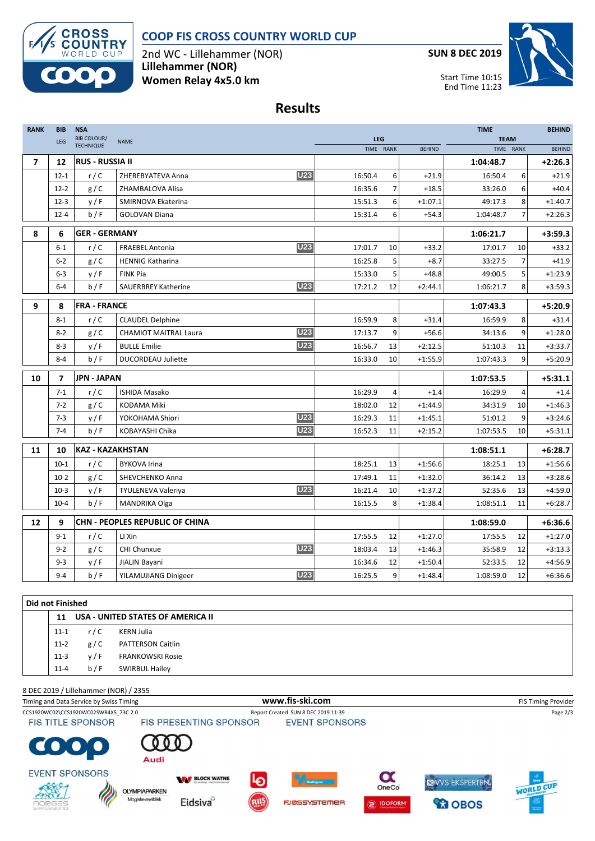



2nd WC - Lillehammer (NOR) **Lillehammer (NOR) Women Relay 4x5.0 km**

**SUN 8 DEC 2019**

Start Time 10:15 End Time 11:23



## **Results**

| <b>RANK</b>              | BIB            | <b>NSA</b><br><b>BIB COLOUR/</b> |                                            | LEG     |                | <b>TIME</b><br><b>TEAM</b> | <b>BEHIND</b> |                |               |
|--------------------------|----------------|----------------------------------|--------------------------------------------|---------|----------------|----------------------------|---------------|----------------|---------------|
|                          | <b>LEG</b>     | <b>TECHNIQUE</b>                 | <b>NAME</b>                                |         | TIME RANK      | <b>BEHIND</b>              | TIME RANK     |                | <b>BEHIND</b> |
| $\overline{\phantom{a}}$ | 12             | <b>RUS - RUSSIA II</b>           |                                            |         |                |                            | 1:04:48.7     |                | $+2:26.3$     |
|                          | $12 - 1$       | r/C                              | <b>U23</b><br>ZHEREBYATEVA Anna            | 16:50.4 | 6              | $+21.9$                    | 16:50.4       | 6              | $+21.9$       |
|                          | $12 - 2$       | g/C                              | ZHAMBALOVA Alisa                           | 16:35.6 | $\overline{7}$ | $+18.5$                    | 33:26.0       | 6              | $+40.4$       |
|                          | $12 - 3$       | y/F                              | SMIRNOVA Ekaterina                         | 15:51.3 | 6              | $+1:07.1$                  | 49:17.3       | 8              | $+1:40.7$     |
|                          | $12 - 4$       | b/F                              | <b>GOLOVAN Diana</b>                       | 15:31.4 | 6              | $+54.3$                    | 1:04:48.7     | $\overline{7}$ | $+2:26.3$     |
| 8                        | 6              | <b>GER - GERMANY</b>             |                                            |         |                |                            | 1:06:21.7     |                | $+3:59.3$     |
|                          | $6 - 1$        | r/C                              | <b>U23</b><br><b>FRAEBEL Antonia</b>       | 17:01.7 | 10             | $+33.2$                    | 17:01.7       | 10             | $+33.2$       |
|                          | $6 - 2$        | g/C                              | <b>HENNIG Katharina</b>                    | 16:25.8 | 5              | $+8.7$                     | 33:27.5       | $\overline{7}$ | $+41.9$       |
|                          | $6 - 3$        | y/F                              | <b>FINK Pia</b>                            | 15:33.0 | 5              | $+48.8$                    | 49:00.5       | 5              | $+1:23.9$     |
|                          | $6 - 4$        | b/F                              | <b>U23</b><br><b>SAUERBREY Katherine</b>   | 17:21.2 | 12             | $+2:44.1$                  | 1:06:21.7     | 8              | $+3:59.3$     |
| 9                        | 8              | <b>FRA - FRANCE</b>              |                                            |         |                |                            | 1:07:43.3     |                | $+5:20.9$     |
|                          | $8 - 1$        | r/C                              | <b>CLAUDEL Delphine</b>                    | 16:59.9 | 8              | $+31.4$                    | 16:59.9       | 8              | $+31.4$       |
|                          | $8 - 2$        | g/C                              | <b>U23</b><br><b>CHAMIOT MAITRAL Laura</b> | 17:13.7 | 9              | $+56.6$                    | 34:13.6       | 9              | $+1:28.0$     |
|                          | $8 - 3$        | y/F                              | <b>U23</b><br><b>BULLE Emilie</b>          | 16:56.7 | 13             | $+2:12.5$                  | 51:10.3       | 11             | $+3:33.7$     |
|                          | $8 - 4$        | b/F                              | <b>DUCORDEAU Juliette</b>                  | 16:33.0 | 10             | $+1:55.9$                  | 1:07:43.3     | 9              | $+5:20.9$     |
| 10                       | $\overline{7}$ | <b>JPN - JAPAN</b>               |                                            |         |                |                            | 1:07:53.5     |                | $+5:31.1$     |
|                          | $7 - 1$        | r/C                              | <b>ISHIDA Masako</b>                       | 16:29.9 | 4              | $+1.4$                     | 16:29.9       | 4              | $+1.4$        |
|                          | $7 - 2$        | g/C                              | KODAMA Miki                                | 18:02.0 | 12             | $+1:44.9$                  | 34:31.9       | 10             | $+1:46.3$     |
|                          | $7 - 3$        | y/F                              | <b>U23</b><br>YOKOHAMA Shiori              | 16:29.3 | 11             | $+1:45.1$                  | 51:01.2       | 9              | $+3:24.6$     |
|                          | $7 - 4$        | b/F                              | <b>U23</b><br>KOBAYASHI Chika              | 16:52.3 | 11             | $+2:15.2$                  | 1:07:53.5     | 10             | $+5:31.1$     |
| 11                       | 10             | <b>KAZ - KAZAKHSTAN</b>          |                                            |         |                |                            | 1:08:51.1     |                | $+6:28.7$     |
|                          | $10 - 1$       | r/C                              | <b>BYKOVA Irina</b>                        | 18:25.1 | 13             | $+1:56.6$                  | 18:25.1       | 13             | $+1:56.6$     |
|                          | $10-2$         | g/C                              | SHEVCHENKO Anna                            | 17:49.1 | 11             | $+1:32.0$                  | 36:14.2       | 13             | $+3:28.6$     |
|                          | $10-3$         | y/F                              | <b>U23</b><br><b>TYULENEVA Valeriya</b>    | 16:21.4 | 10             | $+1:37.2$                  | 52:35.6       | 13             | $+4:59.0$     |
|                          | $10 - 4$       | b/F                              | MANDRIKA Olga                              | 16:15.5 | 8              | $+1:38.4$                  | 1:08:51.1     | 11             | $+6:28.7$     |
| 12                       | 9              |                                  | <b>CHN - PEOPLES REPUBLIC OF CHINA</b>     |         |                |                            | 1:08:59.0     |                | $+6:36.6$     |
|                          | $9 - 1$        | r/C                              | LI Xin                                     | 17:55.5 | 12             | $+1:27.0$                  | 17:55.5       | 12             | $+1:27.0$     |
|                          | $9 - 2$        | g/C                              | <b>U23</b><br><b>CHI Chunxue</b>           | 18:03.4 | 13             | $+1:46.3$                  | 35:58.9       | 12             | $+3:13.3$     |
|                          | $9 - 3$        | y/F                              | JIALIN Bayani                              | 16:34.6 | 12             | $+1:50.4$                  | 52:33.5       | 12             | $+4:56.9$     |
|                          | $9 - 4$        | b / F                            | <b>U23</b><br>YILAMUJIANG Dinigeer         | 16:25.5 | 9              | $+1:48.4$                  | 1:08:59.0     | 12             | $+6:36.6$     |

| <b>Did not Finished</b> |     |                          |                                   |  |  |  |  |  |  |
|-------------------------|-----|--------------------------|-----------------------------------|--|--|--|--|--|--|
| 11                      |     |                          |                                   |  |  |  |  |  |  |
| $11 - 1$                | r/C | KERN Julia               |                                   |  |  |  |  |  |  |
| $11-2$                  | g/C | <b>PATTERSON Caitlin</b> |                                   |  |  |  |  |  |  |
| $11-3$                  | y/F | <b>FRANKOWSKI Rosie</b>  |                                   |  |  |  |  |  |  |
| $11 - 4$                | b/F | <b>SWIRBUL Hailey</b>    |                                   |  |  |  |  |  |  |
|                         |     |                          | USA - UNITED STATES OF AMERICA II |  |  |  |  |  |  |

8 DEC 2019 / Lillehammer (NOR) / 2355 Timing and Data Service by Swiss Timing **WWW.fis-Ski.com WWW.fis-Ski.com** FIS Timing Provider CCS1920WC02\CCS1920WC02SWR4X5\_73C 2.0 Report Created SUN 8 DEC 2019 11:39 Page 2/3<br>
FIS TITLE SPONSOR FIS PRESENTING SPONSOR EVENT SPONSORS **FIS TITLE SPONSOR**  $\bullet$ Audi **EVENT SPONSORS**  $\boldsymbol{\alpha}$ **WAY BLOCK WATNE** EWVS EKSPERTEN. G **WORLD CUP** OneCo **OLYMPIAPARKEN** Á Magiske øyeblikk Eidsiva<sup>o</sup> **FJØSSYSTEMER** DOFORM *<u>CO</u>* OBOS